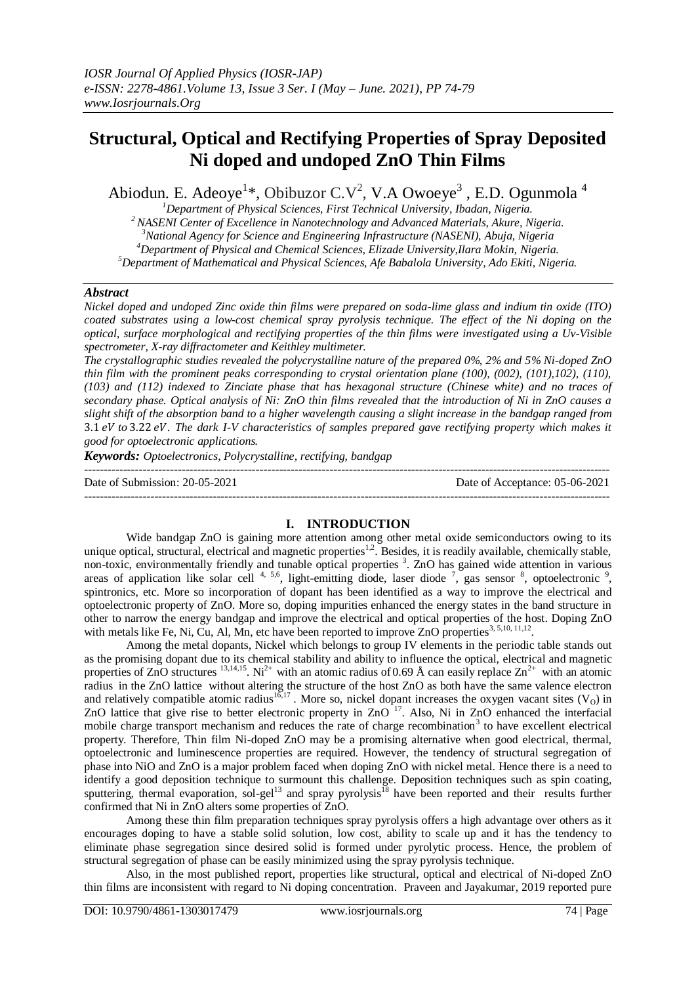# **Structural, Optical and Rectifying Properties of Spray Deposited Ni doped and undoped ZnO Thin Films**

Abiodun. E. Adeoye<sup>1\*</sup>, Obibuzor C.V<sup>2</sup>, V.A Owoeye<sup>3</sup>, E.D. Ogunmola<sup>4</sup>

*<sup>1</sup>Department of Physical Sciences, First Technical University, Ibadan, Nigeria.*

*<sup>2</sup>NASENI Center of Excellence in Nanotechnology and Advanced Materials, Akure, Nigeria.*

*<sup>3</sup>National Agency for Science and Engineering Infrastructure (NASENI), Abuja, Nigeria*

*<sup>4</sup>Department of Physical and Chemical Sciences, Elizade University,Ilara Mokin, Nigeria.*

*<sup>5</sup>Department of Mathematical and Physical Sciences, Afe Babalola University, Ado Ekiti, Nigeria.*

#### *Abstract*

*Nickel doped and undoped Zinc oxide thin films were prepared on soda-lime glass and indium tin oxide (ITO) coated substrates using a low-cost chemical spray pyrolysis technique. The effect of the Ni doping on the optical, surface morphological and rectifying properties of the thin films were investigated using a Uv-Visible spectrometer, X-ray diffractometer and Keithley multimeter.* 

*The crystallographic studies revealed the polycrystalline nature of the prepared 0%, 2% and 5% Ni-doped ZnO thin film with the prominent peaks corresponding to crystal orientation plane (100), (002), (101),102), (110), (103) and (112) indexed to Zinciate phase that has hexagonal structure (Chinese white) and no traces of secondary phase. Optical analysis of Ni: ZnO thin films revealed that the introduction of Ni in ZnO causes a slight shift of the absorption band to a higher wavelength causing a slight increase in the bandgap ranged from to . The dark I-V characteristics of samples prepared gave rectifying property which makes it good for optoelectronic applications.*

*Keywords: Optoelectronics, Polycrystalline, rectifying, bandgap*

--------------------------------------------------------------------------------------------------------------------------------------- Date of Submission: 20-05-2021 Date of Acceptance: 05-06-2021 ---------------------------------------------------------------------------------------------------------------------------------------

### **I. INTRODUCTION**

Wide bandgap ZnO is gaining more attention among other metal oxide semiconductors owing to its unique optical, structural, electrical and magnetic properties<sup>1,2</sup>. Besides, it is readily available, chemically stable, non-toxic, environmentally friendly and tunable optical properties<sup>3</sup>. ZnO has gained wide attention in various areas of application like solar cell  $4, 5, 6$ , light-emitting diode, laser diode  $7$ , gas sensor  $8$ , optoelectronic  $9$ , spintronics, etc. More so incorporation of dopant has been identified as a way to improve the electrical and optoelectronic property of ZnO. More so, doping impurities enhanced the energy states in the band structure in other to narrow the energy bandgap and improve the electrical and optical properties of the host. Doping ZnO with metals like Fe, Ni, Cu, Al, Mn, etc have been reported to improve ZnO properties<sup>3, 5,10, 11,12</sup>.

Among the metal dopants, Nickel which belongs to group IV elements in the periodic table stands out as the promising dopant due to its chemical stability and ability to influence the optical, electrical and magnetic properties of ZnO structures <sup>13,14,15</sup>. Ni<sup>2+</sup> with an atomic radius of 0.69 Å can easily replace  $\text{Zn}^{2+}$  with an atomic radius in the ZnO lattice without altering the structure of the host ZnO as both have the same valence electron and relatively compatible atomic radius<sup>16,17</sup>. More so, nickel dopant increases the oxygen vacant sites  $(V_0)$  in ZnO lattice that give rise to better electronic property in  $ZnO<sup>17</sup>$ . Also, Ni in ZnO enhanced the interfacial mobile charge transport mechanism and reduces the rate of charge recombination<sup>3</sup> to have excellent electrical property. Therefore, Thin film Ni-doped ZnO may be a promising alternative when good electrical, thermal, optoelectronic and luminescence properties are required. However, the tendency of structural segregation of phase into NiO and ZnO is a major problem faced when doping ZnO with nickel metal. Hence there is a need to identify a good deposition technique to surmount this challenge. Deposition techniques such as spin coating, sputtering, thermal evaporation, sol-gel<sup>13</sup> and spray pyrolysis<sup>18</sup> have been reported and their results further confirmed that Ni in ZnO alters some properties of ZnO.

Among these thin film preparation techniques spray pyrolysis offers a high advantage over others as it encourages doping to have a stable solid solution, low cost, ability to scale up and it has the tendency to eliminate phase segregation since desired solid is formed under pyrolytic process. Hence, the problem of structural segregation of phase can be easily minimized using the spray pyrolysis technique.

Also, in the most published report, properties like structural, optical and electrical of Ni-doped ZnO thin films are inconsistent with regard to Ni doping concentration. Praveen and Jayakumar, 2019 reported pure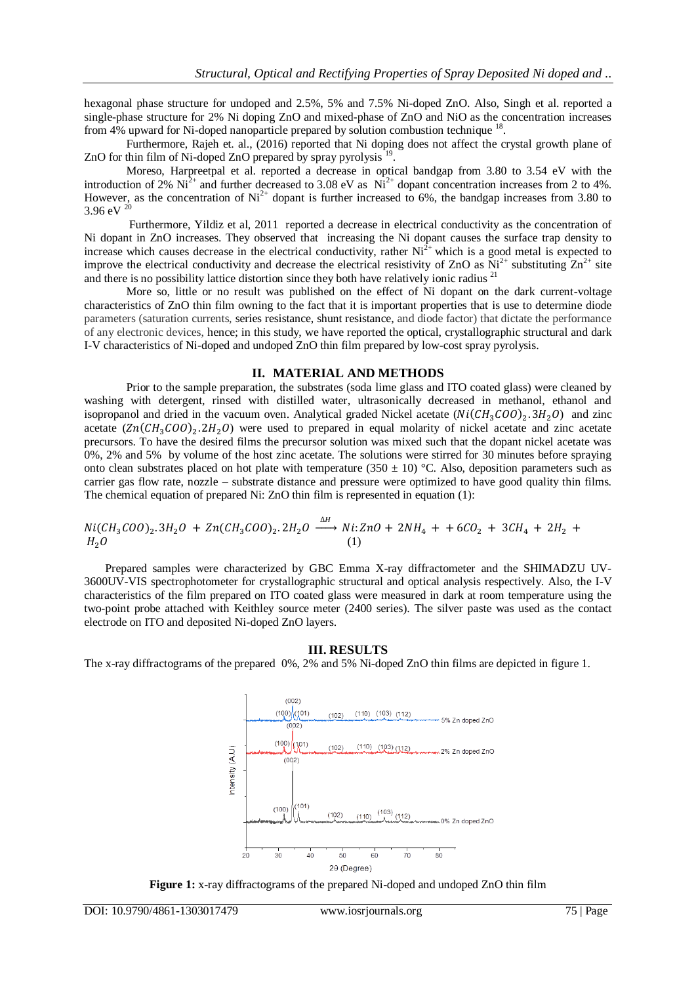hexagonal phase structure for undoped and 2.5%, 5% and 7.5% Ni-doped ZnO. Also, Singh et al. reported a single-phase structure for 2% Ni doping ZnO and mixed-phase of ZnO and NiO as the concentration increases from 4% upward for Ni-doped nanoparticle prepared by solution combustion technique <sup>18</sup>.

Furthermore, Rajeh et. al., (2016) reported that Ni doping does not affect the crystal growth plane of ZnO for thin film of Ni-doped ZnO prepared by spray pyrolysis<sup>19</sup> .

Moreso, Harpreetpal et al. reported a decrease in optical bandgap from 3.80 to 3.54 eV with the introduction of 2%  $Ni^{2+}$  and further decreased to 3.08 eV as  $Ni^{2+}$  dopant concentration increases from 2 to 4%. However, as the concentration of  $Ni^{2+}$  dopant is further increased to 6%, the bandgap increases from 3.80 to  $3.96 \text{ eV}^{20}$ 

Furthermore, Yildiz et al, 2011 reported a decrease in electrical conductivity as the concentration of Ni dopant in ZnO increases. They observed that increasing the Ni dopant causes the surface trap density to increase which causes decrease in the electrical conductivity, rather  $Ni^{2+}$  which is a good metal is expected to improve the electrical conductivity and decrease the electrical resistivity of ZnO as  $Ni^{2+}$  substituting  $Zn^{2+}$  site and there is no possibility lattice distortion since they both have relatively ionic radius  $2<sup>1</sup>$ 

More so, little or no result was published on the effect of Ni dopant on the dark current-voltage characteristics of ZnO thin film owning to the fact that it is important properties that is use to determine diode parameters (saturation currents, [series resistance,](https://sinovoltaics.com/learning-center/basics/series-resistance/) [shunt resistance,](https://sinovoltaics.com/learning-center/basics/shunt-resistance/) and diode factor) that dictate the performance of any electronic devices, hence; in this study, we have reported the optical, crystallographic structural and dark I-V characteristics of Ni-doped and undoped ZnO thin film prepared by low-cost spray pyrolysis.

#### **II. MATERIAL AND METHODS**

Prior to the sample preparation, the substrates (soda lime glass and ITO coated glass) were cleaned by washing with detergent, rinsed with distilled water, ultrasonically decreased in methanol, ethanol and isopropanol and dried in the vacuum oven. Analytical graded Nickel acetate  $(Ni(CH_3COO)_2.3H_2O)$  and zinc acetate  $(Zn(CH_3COO)_2.2H_2O)$  were used to prepared in equal molarity of nickel acetate and zinc acetate precursors. To have the desired films the precursor solution was mixed such that the dopant nickel acetate was 0%, 2% and 5% by volume of the host zinc acetate. The solutions were stirred for 30 minutes before spraying onto clean substrates placed on hot plate with temperature (350  $\pm$  10) °C. Also, deposition parameters such as carrier gas flow rate, nozzle – substrate distance and pressure were optimized to have good quality thin films. The chemical equation of prepared Ni: ZnO thin film is represented in equation (1):

$$
Ni(CH_3COO)_2.3H_2O + Zn(CH_3COO)_2.2H_2O \xrightarrow{\Delta H} Ni: ZnO + 2NH_4 + +6CO_2 + 3CH_4 + 2H_2 + H_2O
$$
 (1)

Prepared samples were characterized by GBC Emma X-ray diffractometer and the SHIMADZU UV-3600UV-VIS spectrophotometer for crystallographic structural and optical analysis respectively. Also, the I-V characteristics of the film prepared on ITO coated glass were measured in dark at room temperature using the two-point probe attached with Keithley source meter (2400 series). The silver paste was used as the contact electrode on ITO and deposited Ni-doped ZnO layers.

#### **III. RESULTS**

The x-ray diffractograms of the prepared 0%, 2% and 5% Ni-doped ZnO thin films are depicted in figure 1.



**Figure 1:** x-ray diffractograms of the prepared Ni-doped and undoped ZnO thin film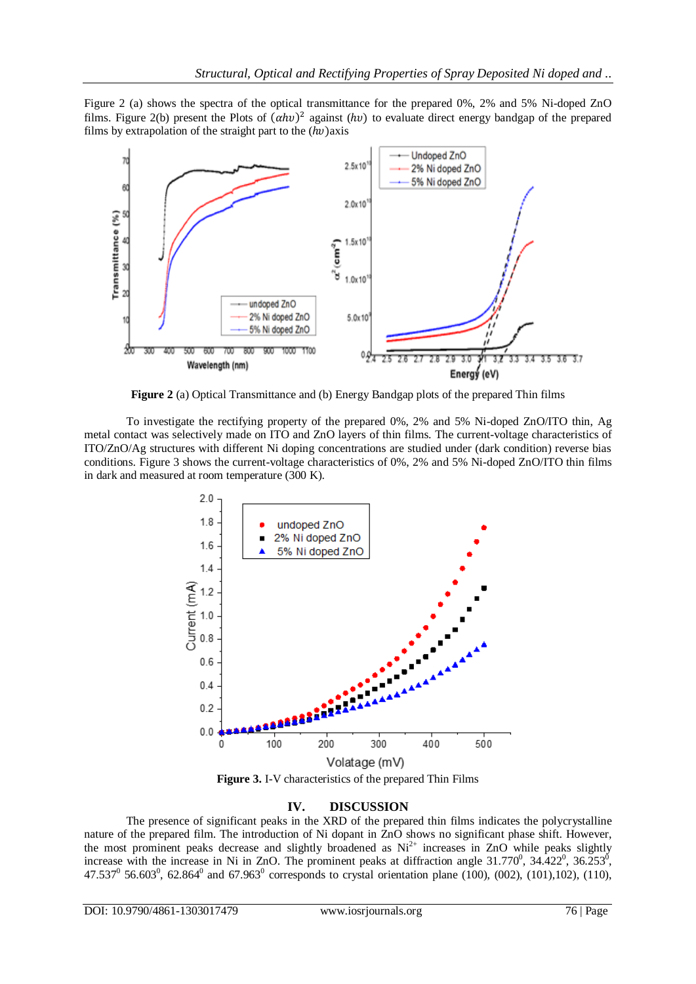Figure 2 (a) shows the spectra of the optical transmittance for the prepared 0%, 2% and 5% Ni-doped ZnO films. Figure 2(b) present the Plots of  $(\alpha h v)^2$  against  $(hv)$  to evaluate direct energy bandgap of the prepared films by extrapolation of the straight part to the  $(hv)$  axis



**Figure 2** (a) Optical Transmittance and (b) Energy Bandgap plots of the prepared Thin films

To investigate the rectifying property of the prepared 0%, 2% and 5% Ni-doped ZnO/ITO thin, Ag metal contact was selectively made on ITO and ZnO layers of thin films. The current-voltage characteristics of ITO/ZnO/Ag structures with different Ni doping concentrations are studied under (dark condition) reverse bias conditions. Figure 3 shows the current-voltage characteristics of 0%, 2% and 5% Ni-doped ZnO/ITO thin films in dark and measured at room temperature (300 K).



**Figure 3.** I-V characteristics of the prepared Thin Films

# **IV. DISCUSSION**

The presence of significant peaks in the XRD of the prepared thin films indicates the polycrystalline nature of the prepared film. The introduction of Ni dopant in ZnO shows no significant phase shift. However, the most prominent peaks decrease and slightly broadened as Ni<sup>2+</sup> increases in ZnO while peaks slightly increase with the increase in Ni in ZnO. The prominent peaks at diffraction angle  $31.770^0$ ,  $34.422^0$ ,  $36.253^0$ , 47.537<sup>0</sup> 56.603<sup>0</sup>, 62.864<sup>0</sup> and 67.963<sup>0</sup> corresponds to crystal orientation plane (100), (002), (101),102), (110),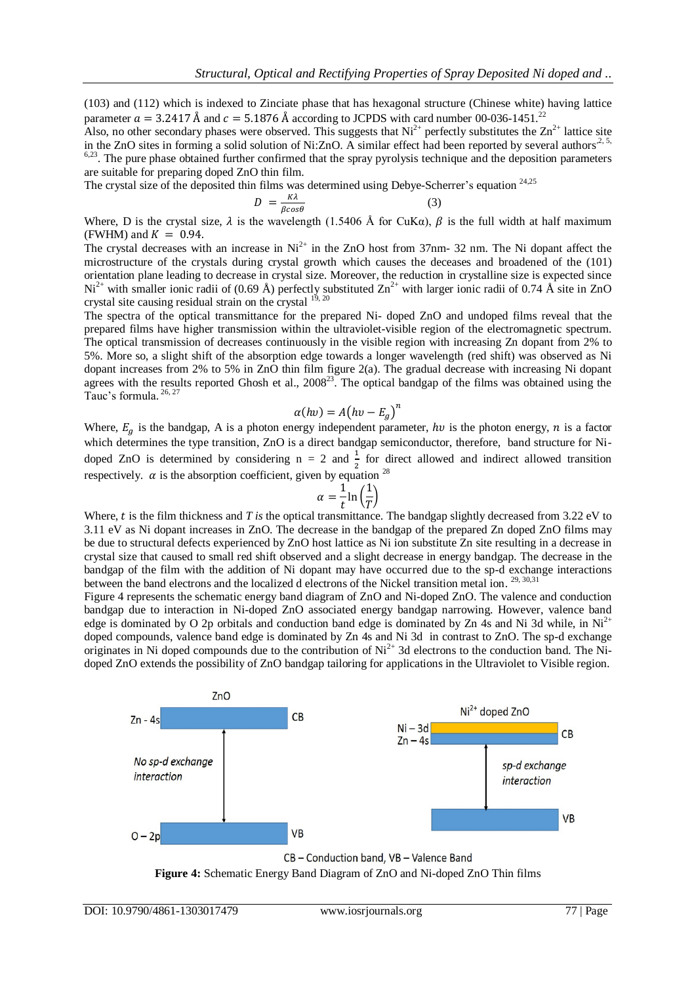(103) and (112) which is indexed to Zinciate phase that has hexagonal structure (Chinese white) having lattice parameter  $a = 3.2417$  Å and  $c = 5.1876$  Å according to JCPDS with card number 00-036-1451.<sup>22</sup>

Also, no other secondary phases were observed. This suggests that  $Ni^{2+}$  perfectly substitutes the  $Zn^{2+}$  lattice site in the ZnO sites in forming a solid solution of Ni:ZnO. A similar effect had been reported by several authors<sup>2, 5,</sup> <sup>6,23</sup>. The pure phase obtained further confirmed that the spray pyrolysis technique and the deposition parameters are suitable for preparing doped ZnO thin film.

The crystal size of the deposited thin films was determined using Debye-Scherrer's equation <sup>24,25</sup>

$$
D = \frac{\kappa \lambda}{\beta \cos \theta} \tag{3}
$$

Where, D is the crystal size,  $\lambda$  is the wavelength (1.5406 Å for CuK $\alpha$ ),  $\beta$  is the full width at half maximum (FWHM) and  $K = 0.94$ .

The crystal decreases with an increase in  $Ni<sup>2+</sup>$  in the ZnO host from 37nm- 32 nm. The Ni dopant affect the microstructure of the crystals during crystal growth which causes the deceases and broadened of the (101) orientation plane leading to decrease in crystal size. Moreover, the reduction in crystalline size is expected since  $Ni^{2+}$  with smaller ionic radii of (0.69 Å) perfectly substituted  $Zn^{2+}$  with larger ionic radii of 0.74 Å site in ZnO crystal site causing residual strain on the crystal  $^{19, 20}$ 

The spectra of the optical transmittance for the prepared Ni- doped ZnO and undoped films reveal that the prepared films have higher transmission within the ultraviolet-visible region of the electromagnetic spectrum. The optical transmission of decreases continuously in the visible region with increasing Zn dopant from 2% to 5%. More so, a slight shift of the absorption edge towards a longer wavelength (red shift) was observed as Ni dopant increases from 2% to 5% in ZnO thin film figure 2(a). The gradual decrease with increasing Ni dopant agrees with the results reported Ghosh et al.,  $2008^{23}$ . The optical bandgap of the films was obtained using the Tauc's formula. 26, 27

$$
\alpha(hv) = A(hv - E_a)^n
$$

Where,  $E_a$  is the bandgap, A is a photon energy independent parameter, hv is the photon energy, n is a factor which determines the type transition, ZnO is a direct bandgap semiconductor, therefore, band structure for Nidoped ZnO is determined by considering  $n = 2$  and  $\frac{1}{2}$  for direct allowed and indirect allowed transition respectively.  $\alpha$  is the absorption coefficient, given by equation <sup>28</sup>

$$
\alpha = \frac{1}{t} \ln \left( \frac{1}{T} \right)
$$

Where, t is the film thickness and *T* is the optical transmittance. The bandgap slightly decreased from 3.22 eV to 3.11 eV as Ni dopant increases in ZnO. The decrease in the bandgap of the prepared Zn doped ZnO films may be due to structural defects experienced by ZnO host lattice as Ni ion substitute Zn site resulting in a decrease in crystal size that caused to small red shift observed and a slight decrease in energy bandgap. The decrease in the bandgap of the film with the addition of Ni dopant may have occurred due to the sp-d exchange interactions between the band electrons and the localized d electrons of the Nickel transition metal ion.<sup>29, 30,31</sup>

Figure 4 represents the schematic energy band diagram of ZnO and Ni-doped ZnO. The valence and conduction bandgap due to interaction in Ni-doped ZnO associated energy bandgap narrowing. However, valence band edge is dominated by O 2p orbitals and conduction band edge is dominated by Zn 4s and Ni 3d while, in  $Ni<sup>2+</sup>$ doped compounds, valence band edge is dominated by Zn 4s and Ni 3d in contrast to ZnO. The sp-d exchange originates in Ni doped compounds due to the contribution of  $Ni<sup>2+</sup>$  3d electrons to the conduction band. The Nidoped ZnO extends the possibility of ZnO bandgap tailoring for applications in the Ultraviolet to Visible region.



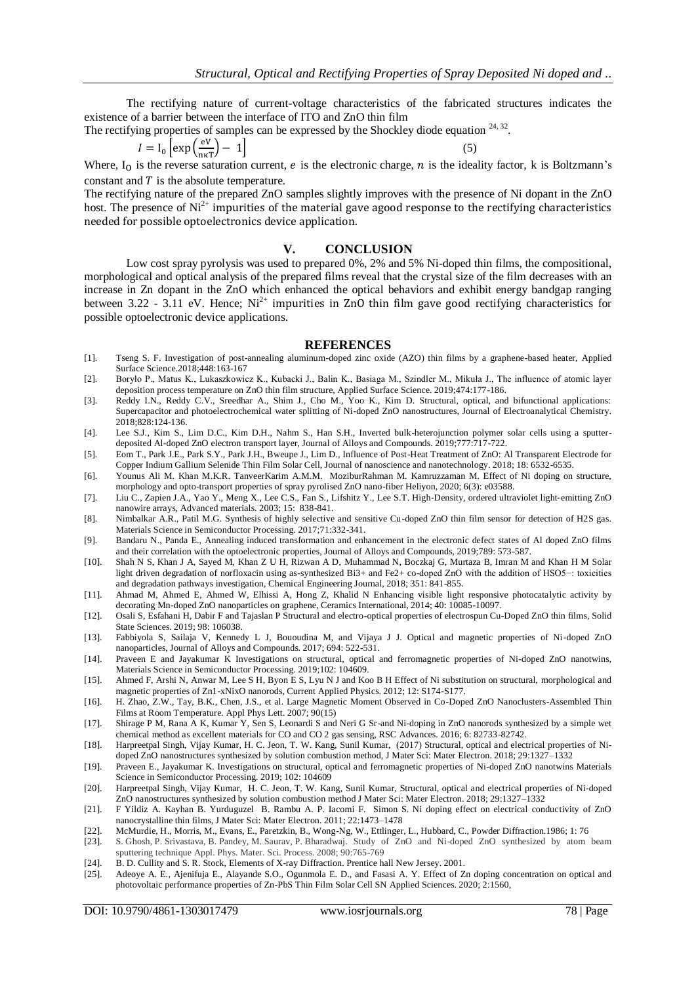The rectifying nature of current-voltage characteristics of the fabricated structures indicates the existence of a barrier between the interface of ITO and ZnO thin film

The rectifying properties of samples can be expressed by the Shockley diode equation  $24, 32$ .

$$
I = I_0 \left[ \exp\left(\frac{eV}{n\kappa T}\right) - 1 \right] \tag{5}
$$

Where, I<sub>O</sub> is the reverse saturation current, *e* is the electronic charge, *n* is the ideality factor, k is Boltzmann's constant and  $T$  is the absolute temperature.

The rectifying nature of the prepared ZnO samples slightly improves with the presence of Ni dopant in the ZnO host. The presence of  $Ni<sup>2+</sup>$  impurities of the material gave agood response to the rectifying characteristics needed for possible optoelectronics device application.

#### **V. CONCLUSION**

Low cost spray pyrolysis was used to prepared 0%, 2% and 5% Ni-doped thin films, the compositional, morphological and optical analysis of the prepared films reveal that the crystal size of the film decreases with an increase in Zn dopant in the ZnO which enhanced the optical behaviors and exhibit energy bandgap ranging between 3.22 - 3.11 eV. Hence;  $Ni^{2+}$  impurities in ZnO thin film gave good rectifying characteristics for possible optoelectronic device applications.

#### **REFERENCES**

- [1]. Tseng S. F. Investigation of post-annealing aluminum-doped zinc oxide (AZO) thin films by a graphene-based heater, Applied Surface Science.2018;448:163-167
- [2]. Boryło P., Matus K., Lukaszkowicz K., Kubacki J., Balin K., Basiaga M., Szindler M., Mikuła J., The influence of atomic layer deposition process temperature on ZnO thin film structure, Applied Surface Science. 2019;474:177-186.
- [3]. Reddy I.N., Reddy C.V., Sreedhar A., Shim J., Cho M., Yoo K., Kim D. Structural, optical, and bifunctional applications: Supercapacitor and photoelectrochemical water splitting of Ni-doped ZnO nanostructures, Journal of Electroanalytical Chemistry. 2018;828:124-136.
- [4]. Lee S.J., Kim S., Lim D.C., Kim D.H., Nahm S., Han S.H., Inverted bulk-heterojunction polymer solar cells using a sputterdeposited Al-doped ZnO electron transport layer, Journal of Alloys and Compounds. 2019;777:717-722.
- [5]. Eom T., Park J.E., Park S.Y., Park J.H., Bweupe J., Lim D., Influence of Post-Heat Treatment of ZnO: Al Transparent Electrode for Copper Indium Gallium Selenide Thin Film Solar Cell, Journal of nanoscience and nanotechnology. 2018; 18: 6532-6535.
- [6]. [Younus Ali](https://www.sciencedirect.com/science/article/pii/S2405844020304333#!) M. [Khan](https://www.sciencedirect.com/science/article/pii/S2405844020304333#!) M.K.R. [TanveerKarim](https://www.sciencedirect.com/science/article/pii/S2405844020304333#!) A.M.M. [MoziburRahman](https://www.sciencedirect.com/science/article/pii/S2405844020304333#!) M. [Kamruzzaman](https://www.sciencedirect.com/science/article/pii/S2405844020304333#!) M. Effect of Ni doping on structure, morphology and opto-transport properties of spray pyrolised ZnO nano-fiber Heliyon, 2020; 6(3): e03588.
- [7]. Liu C., Zapien J.A., Yao Y., Meng X., Lee C.S., Fan S., Lifshitz Y., Lee S.T. High‐Density, ordered ultraviolet light‐emitting ZnO nanowire arrays, Advanced materials. 2003; 15: 838-841.
- [8]. Nimbalkar A.R., Patil M.G. Synthesis of highly selective and sensitive Cu-doped ZnO thin film sensor for detection of H2S gas. Materials Science in Semiconductor Processing. 2017;71:332-341.
- [9]. Bandaru N., Panda E., Annealing induced transformation and enhancement in the electronic defect states of Al doped ZnO films and their correlation with the optoelectronic properties, Journal of Alloys and Compounds, 2019;789: 573-587.
- [10]. Shah N S, Khan J A, Sayed M, Khan Z U H, Rizwan A D, Muhammad N, Boczkaj G, Murtaza B, Imran M and Khan H M Solar light driven degradation of norfloxacin using as-synthesized Bi3+ and Fe2+ co-doped ZnO with the addition of HSO5−: toxicities and degradation pathways investigation, Chemical Engineering Journal, 2018; 351: 841-855.
- [11]. Ahmad M, Ahmed E, Ahmed W, Elhissi A, Hong Z, Khalid N Enhancing visible light responsive photocatalytic activity by decorating Mn-doped ZnO nanoparticles on graphene, Ceramics International, 2014; 40: 10085-10097.
- [12]. Osali S, Esfahani H, Dabir F and Tajaslan P Structural and electro-optical properties of electrospun Cu-Doped ZnO thin films, Solid State Sciences. 2019; 98: 106038.
- [13]. Fabbiyola S, Sailaja V, Kennedy L J, Bououdina M, and Vijaya J J. Optical and magnetic properties of Ni-doped ZnO nanoparticles, Journal of Alloys and Compounds. 2017; 694: 522-531.
- [14]. Praveen E and Jayakumar K Investigations on structural, optical and ferromagnetic properties of Ni-doped ZnO nanotwins, Materials Science in Semiconductor Processing. 2019;102: 104609.
- [15]. Ahmed F, Arshi N, Anwar M, Lee S H, Byon E S, Lyu N J and Koo B H Effect of Ni substitution on structural, morphological and magnetic properties of Zn1-xNixO nanorods, Current Applied Physics. 2012; 12: S174-S177.
- [16]. H. Zhao, Z.W., Tay, B.K., Chen, J.S., et al. Large Magnetic Moment Observed in Co-Doped ZnO Nanoclusters-Assembled Thin Films at Room Temperature. Appl Phys Lett. 2007; 90(15)
- [17]. Shirage P M, Rana A K, Kumar Y, Sen S, Leonardi S and Neri G Sr-and Ni-doping in ZnO nanorods synthesized by a simple wet chemical method as excellent materials for CO and CO 2 gas sensing, RSC Advances. 2016; 6: 82733-82742.
- [18]. Harpreetpal Singh, Vijay Kumar, H. C. Jeon, T. W. Kang, Sunil Kumar, (2017) Structural, optical and electrical properties of Nidoped ZnO nanostructures synthesized by solution combustion method, J Mater Sci: Mater Electron. 2018; 29:1327–1332
- [19]. Praveen E., Jayakumar K. Investigations on structural, optical and ferromagnetic properties of Ni-doped ZnO nanotwins Materials Science in Semiconductor Processing. 2019; 102: 104609
- [20]. Harpreetpal Singh, Vijay Kumar, H. C. Jeon, T. W. Kang, Sunil Kumar, Structural, optical and electrical properties of Ni-doped ZnO nanostructures synthesized by solution combustion method J Mater Sci: Mater Electron. 2018; 29:1327–1332
- [21]. F Yildiz A. Kayhan B. Yurduguzel B. Rambu A. P. Iacomi F. Simon S. Ni doping effect on electrical conductivity of ZnO nanocrystalline thin films, J Mater Sci: Mater Electron. 2011; 22:1473–1478
- [22]. McMurdie, H., Morris, M., Evans, E., Paretzkin, B., Wong-Ng, W., Ettlinger, L., Hubbard, C., Powder Diffraction.1986; 1: 76
- [23]. S. Ghosh, P. Srivastava, B. Pandey, M. Saurav, P. Bharadwaj. Study of ZnO and Ni-doped ZnO synthesized by atom beam sputtering technique Appl. Phys. Mater. Sci. Process. 2008; 90:765-769
- [24]. B. D. Cullity and S. R. Stock, Elements of X-ray Diffraction. Prentice hall New Jersey. 2001.
- [25]. Adeoye A. E., Ajenifuja E., Alayande S.O., Ogunmola E. D., and Fasasi A. Y. Effect of Zn doping concentration on optical and photovoltaic performance properties of Zn-PbS Thin Film Solar Cell SN Applied Sciences. 2020; 2:1560,